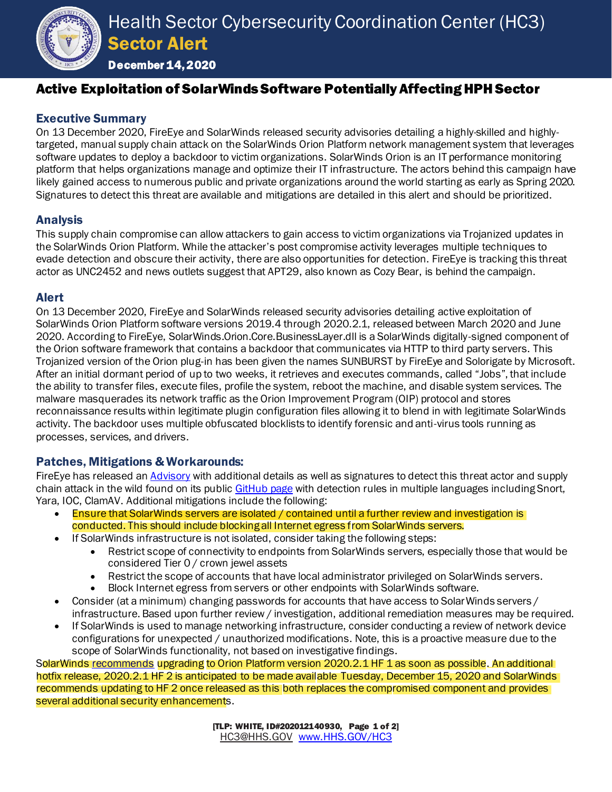

December 14, 2020

# Active Exploitation of SolarWinds Software Potentially Affecting HPH Sector

## Executive Summary

On 13 December 2020, FireEye and SolarWinds released security advisories detailing a highly-skilled and highlytargeted, manual supply chain attack on the SolarWinds Orion Platform network management system that leverages software updates to deploy a backdoor to victim organizations. SolarWinds Orion is an IT performance monitoring platform that helps organizations manage and optimize their IT infrastructure. The actors behind this campaign have likely gained access to numerous public and private organizations around the world starting as early as Spring 2020. Signatures to detect this threat are available and mitigations are detailed in this alert and should be prioritized.

## Analysis

This supply chain compromise can allow attackers to gain access to victim organizations via Trojanized updates in the SolarWinds Orion Platform. While the attacker's post compromise activity leverages multiple techniques to evade detection and obscure their activity, there are also opportunities for detection. FireEye is tracking this threat actor as UNC2452 and news outlets suggest that APT29, also known as Cozy Bear, is behind the campaign.

#### Alert

On 13 December 2020, FireEye and SolarWinds released security advisories detailing active exploitation of SolarWinds Orion Platform software versions 2019.4 through 2020.2.1, released between March 2020 and June 2020. According to FireEye, SolarWinds.Orion.Core.BusinessLayer.dll is a SolarWinds digitally-signed component of the Orion software framework that contains a backdoor that communicates via HTTP to third party servers. This Trojanized version of the Orion plug-in has been given the names SUNBURST by FireEye and Solorigate by Microsoft. After an initial dormant period of up to two weeks, it retrieves and executes commands, called "Jobs", that include the ability to transfer files, execute files, profile the system, reboot the machine, and disable system services. The malware masquerades its network traffic as the Orion Improvement Program (OIP) protocol and stores reconnaissance results within legitimate plugin configuration files allowing it to blend in with legitimate SolarWinds activity. The backdoor uses multiple obfuscated blocklists to identify forensic and anti-virus tools running as processes, services, and drivers.

## Patches, Mitigations & Workarounds:

FireEye has released a[n Advisory](https://www.fireeye.com/blog/threat-research/2020/12/evasive-attacker-leverages-solarwinds-supply-chain-compromises-with-sunburst-backdoor.html) with additional details as well as signatures to detect this threat actor and supply chain attack in the wild found on its publi[c GitHub page](https://github.com/fireeye/sunburst_countermeasures) with detection rules in multiple languages including Snort, Yara, IOC, ClamAV. Additional mitigations include the following:

- Ensure that SolarWinds servers are isolated / contained until a further review and investigation is conducted. This should include blocking all Internet egress from SolarWinds servers.
- If SolarWinds infrastructure is not isolated, consider taking the following steps:
	- Restrict scope of connectivity to endpoints from SolarWinds servers, especially those that would be considered Tier 0 / crown jewel assets
	- Restrict the scope of accounts that have local administrator privileged on SolarWinds servers.
	- Block Internet egress from servers or other endpoints with SolarWinds software.
- Consider (at a minimum) changing passwords for accounts that have access to SolarWinds servers / infrastructure. Based upon further review / investigation, additional remediation measures may be required.
- If SolarWinds is used to manage networking infrastructure, consider conducting a review of network device configurations for unexpected / unauthorized modifications. Note, this is a proactive measure due to the scope of SolarWinds functionality, not based on investigative findings.

SolarWind[s recommends](https://www.solarwinds.com/securityadvisory) upgrading to Orion Platform version 2020.2.1 HF 1 as soon as possible. An additional hotfix release, 2020.2.1 HF 2 is anticipated to be made available Tuesday, December 15, 2020 and SolarWinds recommends updating to HF 2 once released as this both replaces the compromised component and provides several additional security enhancements.